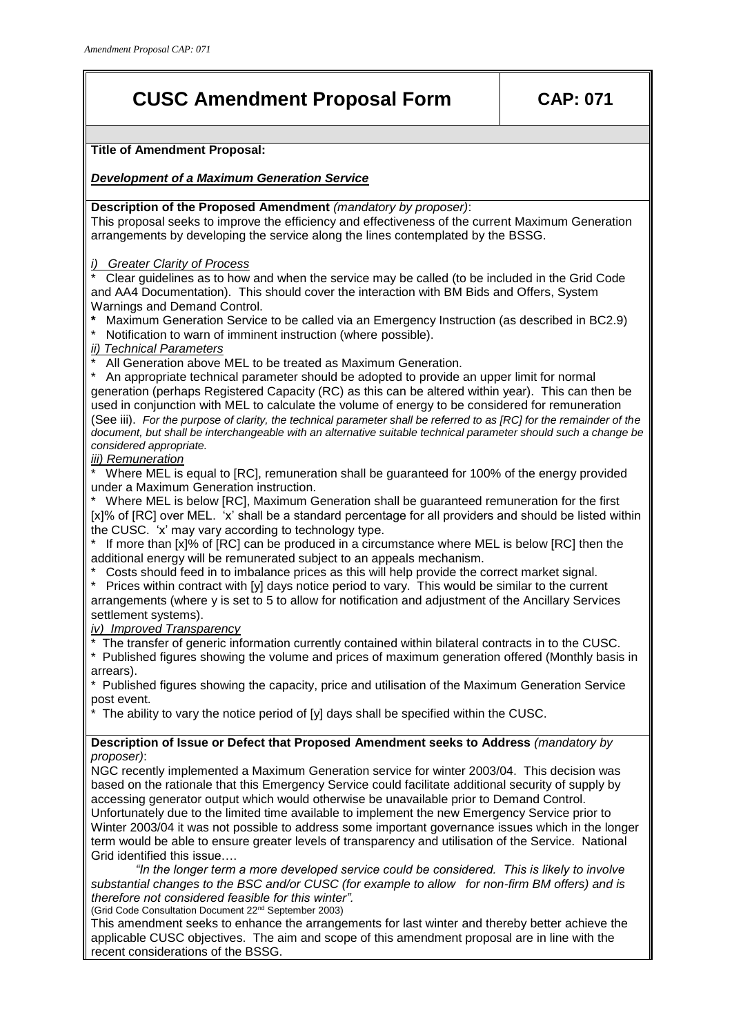## **CUSC Amendment Proposal Form CAP: 071**

**Title of Amendment Proposal:**

*Development of a Maximum Generation Service*

**Description of the Proposed Amendment** *(mandatory by proposer)*:

This proposal seeks to improve the efficiency and effectiveness of the current Maximum Generation arrangements by developing the service along the lines contemplated by the BSSG.

*i) Greater Clarity of Process*

Clear guidelines as to how and when the service may be called (to be included in the Grid Code and AA4 Documentation). This should cover the interaction with BM Bids and Offers, System Warnings and Demand Control.

- **\*** Maximum Generation Service to be called via an Emergency Instruction (as described in BC2.9)
- Notification to warn of imminent instruction (where possible).

*ii) Technical Parameters* 

All Generation above MEL to be treated as Maximum Generation.

\* An appropriate technical parameter should be adopted to provide an upper limit for normal generation (perhaps Registered Capacity (RC) as this can be altered within year). This can then be used in conjunction with MEL to calculate the volume of energy to be considered for remuneration (See iii). *For the purpose of clarity, the technical parameter shall be referred to as [RC] for the remainder of the document, but shall be interchangeable with an alternative suitable technical parameter should such a change be considered appropriate.* 

*iii) Remuneration*

Where MEL is equal to [RC], remuneration shall be guaranteed for 100% of the energy provided under a Maximum Generation instruction.

Where MEL is below [RC], Maximum Generation shall be guaranteed remuneration for the first [x]% of [RC] over MEL. 'x' shall be a standard percentage for all providers and should be listed within the CUSC. 'x' may vary according to technology type.

\* If more than [x]% of [RC] can be produced in a circumstance where MEL is below [RC] then the additional energy will be remunerated subject to an appeals mechanism.

Costs should feed in to imbalance prices as this will help provide the correct market signal.

Prices within contract with [y] days notice period to vary. This would be similar to the current arrangements (where y is set to 5 to allow for notification and adjustment of the Ancillary Services settlement systems).

*iv) Improved Transparency*

The transfer of generic information currently contained within bilateral contracts in to the CUSC.

\* Published figures showing the volume and prices of maximum generation offered (Monthly basis in arrears).

Published figures showing the capacity, price and utilisation of the Maximum Generation Service post event.

The ability to vary the notice period of  $[y]$  days shall be specified within the CUSC.

**Description of Issue or Defect that Proposed Amendment seeks to Address** *(mandatory by proposer)*:

NGC recently implemented a Maximum Generation service for winter 2003/04. This decision was based on the rationale that this Emergency Service could facilitate additional security of supply by accessing generator output which would otherwise be unavailable prior to Demand Control. Unfortunately due to the limited time available to implement the new Emergency Service prior to Winter 2003/04 it was not possible to address some important governance issues which in the longer term would be able to ensure greater levels of transparency and utilisation of the Service. National Grid identified this issue….

*"In the longer term a more developed service could be considered. This is likely to involve substantial changes to the BSC and/or CUSC (for example to allow for non-firm BM offers) and is therefore not considered feasible for this winter".*

(Grid Code Consultation Document 22nd September 2003)

This amendment seeks to enhance the arrangements for last winter and thereby better achieve the applicable CUSC objectives. The aim and scope of this amendment proposal are in line with the recent considerations of the BSSG.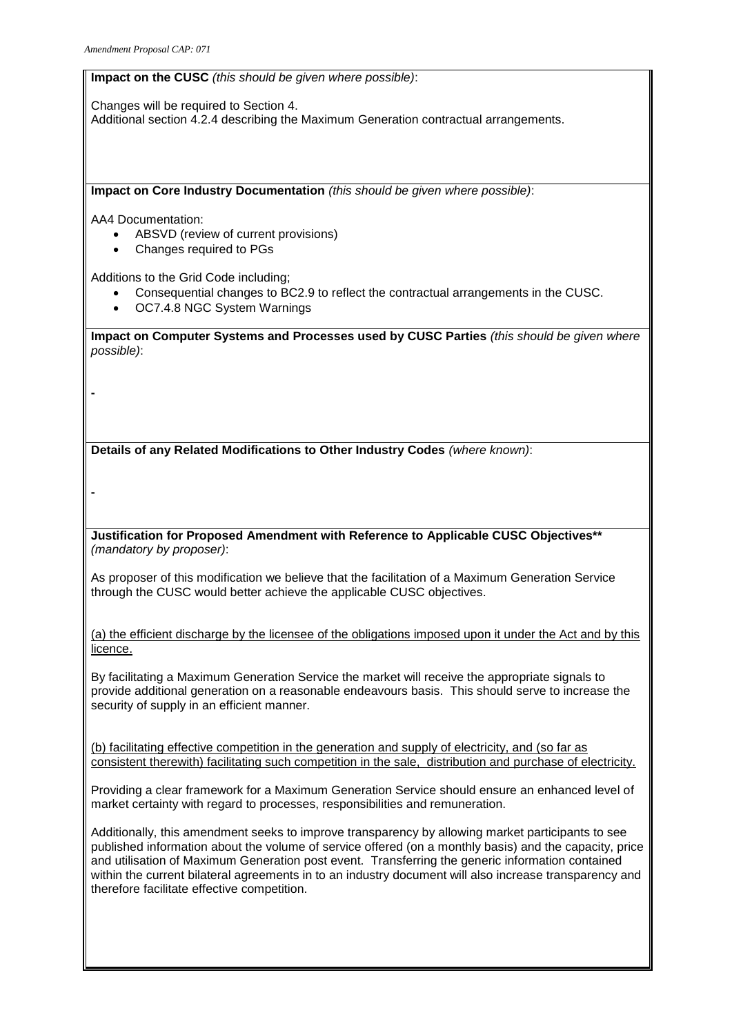**Impact on the CUSC** *(this should be given where possible)*:

Changes will be required to Section 4. Additional section 4.2.4 describing the Maximum Generation contractual arrangements.

**Impact on Core Industry Documentation** *(this should be given where possible)*:

AA4 Documentation:

- ABSVD (review of current provisions)
- Changes required to PGs

Additions to the Grid Code including;

- Consequential changes to BC2.9 to reflect the contractual arrangements in the CUSC.
- OC7.4.8 NGC System Warnings

**Impact on Computer Systems and Processes used by CUSC Parties** *(this should be given where possible)*:

**Details of any Related Modifications to Other Industry Codes** *(where known)*:

**-**

**-**

**Justification for Proposed Amendment with Reference to Applicable CUSC Objectives\*\***  *(mandatory by proposer)*:

As proposer of this modification we believe that the facilitation of a Maximum Generation Service through the CUSC would better achieve the applicable CUSC objectives.

(a) the efficient discharge by the licensee of the obligations imposed upon it under the Act and by this licence.

By facilitating a Maximum Generation Service the market will receive the appropriate signals to provide additional generation on a reasonable endeavours basis. This should serve to increase the security of supply in an efficient manner.

(b) facilitating effective competition in the generation and supply of electricity, and (so far as consistent therewith) facilitating such competition in the sale, distribution and purchase of electricity.

Providing a clear framework for a Maximum Generation Service should ensure an enhanced level of market certainty with regard to processes, responsibilities and remuneration.

Additionally, this amendment seeks to improve transparency by allowing market participants to see published information about the volume of service offered (on a monthly basis) and the capacity, price and utilisation of Maximum Generation post event. Transferring the generic information contained within the current bilateral agreements in to an industry document will also increase transparency and therefore facilitate effective competition.